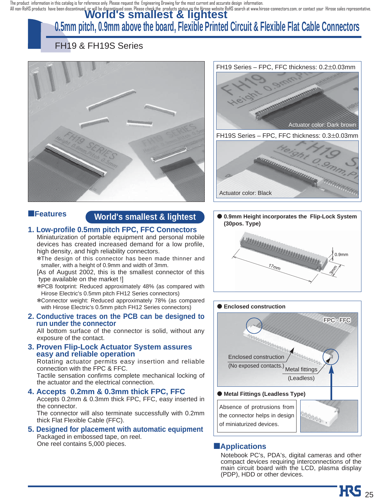The product information in this catalog is for reference only. Please request the Engineering Drawing for the most current and accurate design information.

# All non-RoHS products have been discontinued, or will be discontiqued soon. Please check the products status on the Hirose website RoHS search at www.hirose-connectors.com, or contact your Hirose sales representative.<br>WOMO

# **0.5mm pitch, 0.9mm above the board, Flexible Printed Circuit & Flexible Flat Cable Connectors**

# FH19 & FH19S Series



### ■**Features**

### **World's smallest & lightest**

#### **1. Low-profile 0.5mm pitch FPC, FFC Connectors**

Miniaturization of portable equipment and personal mobile devices has created increased demand for a low profile, high density, and high reliability connectors.

\*The design of this connector has been made thinner and smaller, with a height of 0.9mm and width of 3mm.

[As of August 2002, this is the smallest connector of this type available on the market !]

\*PCB footprint: Reduced approximately 48% (as compared with Hirose Electric's 0.5mm pitch FH12 Series connectors)

\*Connector weight: Reduced approximately 78% (as compared with Hirose Electric's 0.5mm pitch FH12 Series connectors)

#### **2. Conductive traces on the PCB can be designed to run under the connector**

All bottom surface of the connector is solid, without any exposure of the contact.

**3. Proven Flip-Lock Actuator System assures easy and reliable operation**

Rotating actuator permits easy insertion and reliable connection with the FPC & FFC.

Tactile sensation confirms complete mechanical locking of the actuator and the electrical connection.

#### **4. Accepts 0.2mm & 0.3mm thick FPC, FFC**

Accepts 0.2mm & 0.3mm thick FPC, FFC, easy inserted in the connector.

The connector will also terminate successfully with 0.2mm thick Flat Flexible Cable (FFC).

**5. Designed for placement with automatic equipment** Packaged in embossed tape, on reel. One reel contains 5,000 pieces. **Applications** 



0.9mm  $\hat{\mathcal{E}}$  $\frac{1}{2}m$ ● **0.9mm Height incorporates the Flip-Lock System (30pos. Type)** 



Notebook PC's, PDA's, digital cameras and other compact devices requiring interconnections of the main circuit board with the LCD, plasma display (PDP), HDD or other devices.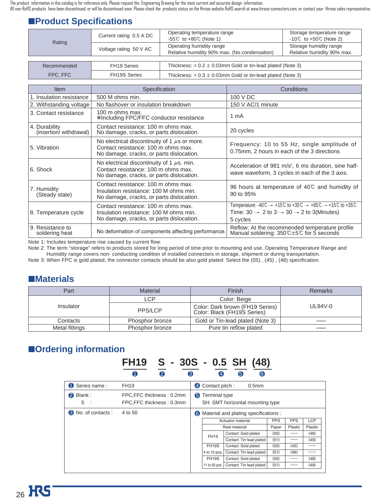# ■**Product Specifications**

|             | Current rating 0.5 A DC                                                                | Operating temperature range<br>-55℃ to $+80$ °C (Note 1)                 | Storage temperature range<br>-10°C to +50°C (Note 2) |  |
|-------------|----------------------------------------------------------------------------------------|--------------------------------------------------------------------------|------------------------------------------------------|--|
| Rating      | Voltage rating 50 V AC                                                                 | Operating humidity range<br>Relative humidity 90% max. (No condensation) | Storage humidity range<br>Relative humidity 90% max. |  |
|             |                                                                                        |                                                                          |                                                      |  |
| Recommended | FH <sub>19</sub> Series                                                                | Thickness: $= 0.2 \pm 0.03$ mm Gold or tin-lead plated (Note 3)          |                                                      |  |
| FPC, FFC    | <b>FH19S Series</b><br>Thickness: $= 0.3 \pm 0.03$ mm Gold or tin-lead plated (Note 3) |                                                                          |                                                      |  |

| <b>Item</b>                             | Specification                                                                                                                        | Conditions                                                                                                                                                                                                                                                                     |
|-----------------------------------------|--------------------------------------------------------------------------------------------------------------------------------------|--------------------------------------------------------------------------------------------------------------------------------------------------------------------------------------------------------------------------------------------------------------------------------|
| 1. Insulation resistance                | 500 M ohms min.                                                                                                                      | 100 V DC                                                                                                                                                                                                                                                                       |
| 2. Withstanding voltage                 | No flashover or insulation breakdown                                                                                                 | 150 V AC/1 minute                                                                                                                                                                                                                                                              |
| 3. Contact resistance                   | 100 m ohms max.<br>*Including FPC/FFC conductor resistance                                                                           | 1 mA                                                                                                                                                                                                                                                                           |
| 4. Durability<br>(insertion/withdrawal) | Contact resistance: 100 m ohms max.<br>No damage, cracks, or parts dislocation.                                                      | 20 cycles                                                                                                                                                                                                                                                                      |
| 5. Vibration                            | No electrical discontinuity of 1 $\mu$ s or more.<br>Contact resistance: 100 m ohms max.<br>No damage, cracks, or parts dislocation. | Frequency: 10 to 55 Hz, single amplitude of<br>0.75mm, 2 hours in each of the 3 directions                                                                                                                                                                                     |
| 6. Shock                                | No electrical discontinuity of 1 $\mu$ s. min.<br>Contact resistance: 100 m ohms max.<br>No damage, cracks, or parts dislocation.    | Acceleration of 981 m/s <sup>2</sup> , 6 ms duration, sine half-<br>wave waveform, 3 cycles in each of the 3 axis.                                                                                                                                                             |
| 7. Humidity<br>(Steady state)           | Contact resistance: 100 m ohms max.<br>Insulation resistance: 100 M ohms min.<br>No damage, cracks, or parts dislocation.            | 96 hours at temperature of $40^{\circ}$ and humidity of<br>90 to 95%                                                                                                                                                                                                           |
| 8. Temperature cycle                    | Contact resistance: 100 m ohms max.<br>Insulation resistance: 100 M ohms min.<br>No damage, cracks, or parts dislocation.            | Temperature: $-40^{\circ}\text{C} \rightarrow +15^{\circ}\text{C}$ to $+35^{\circ}\text{C} \rightarrow +85^{\circ}\text{C} \rightarrow +15^{\circ}\text{C}$ to $+35^{\circ}\text{C}$<br>Time: $30 \rightarrow 2$ to $3 \rightarrow 30 \rightarrow 2$ to 3(Minutes)<br>5 cycles |
| 9. Resistance to<br>soldering heat      | No deformation of components affecting performance.                                                                                  | Reflow: At the recommended temperature profile<br>Manual soldering: 350℃±5℃ for 5 seconds                                                                                                                                                                                      |

Note 1: Includes temperature rise caused by current flow.

Note 2: The term "storage" refers to products stored for long period of time prior to mounting and use. Operating Temperature Range and Humidity range covers non- conducting condition of installed connectors in storage, shipment or during transportation.

Note 3: When FPC is gold plated, the connector contacts should be also gold plated: Select the (05) , (45) , (48) specification.

### ■**Materials**

| Part           | <b>Material</b> | Finish                                                         | <b>Remarks</b> |
|----------------|-----------------|----------------------------------------------------------------|----------------|
|                | LCP             | Color: Beige                                                   |                |
| Insulator      | PPS/LCP         | Color: Dark brown (FH19 Series)<br>Color: Black (FH19S Series) | $UL94V-0$      |
| Contacts       | Phosphor bronze | Gold or Tin-lead plated (Note 3)                               |                |
| Metal fittings | Phosphor bronze | Pure tin reflow plated                                         |                |

# ■**Ordering information**

# **FH19 S - 30S - 0.5 SH (48)** 1 2 3 4 5 6

| Series name:               | <b>FH19</b>                                            | 4 Contact pitch:<br>0.5 <sub>mm</sub>                  |                    |                          |            |            |            |
|----------------------------|--------------------------------------------------------|--------------------------------------------------------|--------------------|--------------------------|------------|------------|------------|
| Blank:<br>2<br>S           | FPC, FFC thickness: 0.2mm<br>FPC, FFC thickness: 0.3mm | Terminal type<br>6<br>SH: SMT horizontal mounting type |                    |                          |            |            |            |
| <b>6</b> No. of contacts : | 4 to 50                                                | Material and plating specifications :<br>6             |                    |                          |            |            |            |
|                            |                                                        |                                                        |                    | Actuator material        | <b>PPS</b> | <b>PPS</b> | <b>LCP</b> |
|                            |                                                        |                                                        |                    | Reel material            | Paper      | Plastic    | Plastic    |
|                            |                                                        |                                                        | <b>FH19</b>        | Contact: Gold plated     | (05)       |            | (48)       |
|                            |                                                        |                                                        |                    | Contact: Tin-lead plated | (51)       |            | (49)       |
|                            |                                                        |                                                        | FH <sub>19</sub> S | Contact: Gold plated     | (05)       | (45)       |            |
|                            |                                                        |                                                        | 4 to 10 pos.       | Contact: Tin-lead plated | (51)       | (46)       |            |
|                            |                                                        |                                                        | FH <sub>19S</sub>  | Contact: Gold plated     | (05)       |            | (48)       |
|                            |                                                        |                                                        | 11 to 50 pos.      | Contact: Tin-lead plated | (51)       |            | (49)       |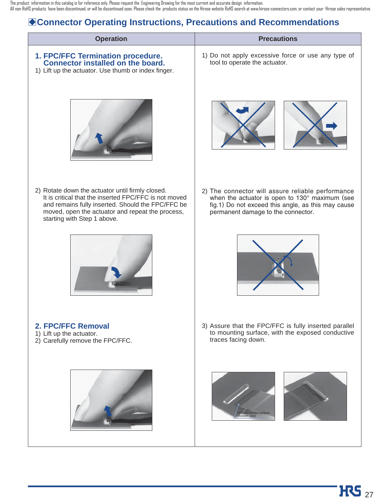# B**Connector Operating Instructions, Precautions and Recommendations**

| <b>Operation</b>                                                                                                                                                                                                                                  | <b>Precautions</b>                                                                                                                                                                              |
|---------------------------------------------------------------------------------------------------------------------------------------------------------------------------------------------------------------------------------------------------|-------------------------------------------------------------------------------------------------------------------------------------------------------------------------------------------------|
| 1. FPC/FFC Termination procedure.<br>Connector installed on the board.<br>1) Lift up the actuator. Use thumb or index finger.                                                                                                                     | 1) Do not apply excessive force or use any type of<br>tool to operate the actuator.                                                                                                             |
|                                                                                                                                                                                                                                                   |                                                                                                                                                                                                 |
| 2) Rotate down the actuator until firmly closed.<br>It is critical that the inserted FPC/FFC is not moved<br>and remains fully inserted. Should the FPC/FFC be<br>moved, open the actuator and repeat the process,<br>starting with Step 1 above. | 2) The connector will assure reliable performance<br>when the actuator is open to 130° maximum (see<br>fig.1) Do not exceed this angle, as this may cause<br>permanent damage to the connector. |
|                                                                                                                                                                                                                                                   |                                                                                                                                                                                                 |
| 2. FPC/FFC Removal<br>1) Lift up the actuator.<br>2) Carefully remove the FPC/FFC.                                                                                                                                                                | 3) Assure that the FPC/FFC is fully inserted parallel<br>to mounting surface, with the exposed conductive<br>traces facing down.                                                                |
|                                                                                                                                                                                                                                                   | nductor surface<br>Bottom side'                                                                                                                                                                 |
|                                                                                                                                                                                                                                                   |                                                                                                                                                                                                 |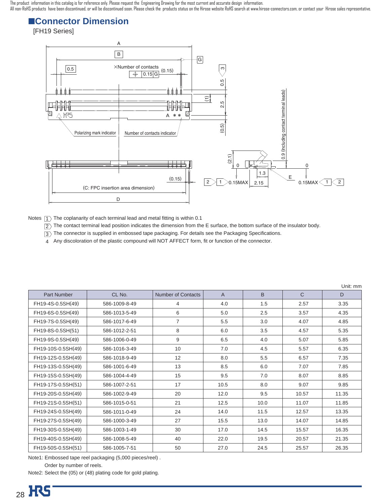# ■**Connector Dimension**

[FH19 Series]



Notes  $\ket{\mathsf{T}}$  The coplanarity of each terminal lead and metal fitting is within 0.1

 $\overline{2}$  The contact terminal lead position indicates the dimension from the E surface, the bottom surface of the insulator body.

 $\overline{3}$  The connector is supplied in embossed tape packaging. For details see the Packaging Specifications.

Any discoloration of the plastic compound will NOT AFFECT form, fit or function of the connector. 4

|                    |               |                    |                |              |              | Unit: mm |
|--------------------|---------------|--------------------|----------------|--------------|--------------|----------|
| <b>Part Number</b> | CL No.        | Number of Contacts | $\overline{A}$ | <sub>B</sub> | $\mathsf{C}$ | D        |
| FH19-4S-0.5SH(49)  | 586-1009-8-49 | 4                  | 4.0            | 1.5          | 2.57         | 3.35     |
| FH19-6S-0.5SH(49)  | 586-1013-5-49 | 6                  | 5.0            | 2.5          | 3.57         | 4.35     |
| FH19-7S-0.5SH(49)  | 586-1017-6-49 | $\overline{7}$     | 5.5            | 3.0          | 4.07         | 4.85     |
| FH19-8S-0.5SH(51)  | 586-1012-2-51 | 8                  | 6.0            | 3.5          | 4.57         | 5.35     |
| FH19-9S-0.5SH(49)  | 586-1006-0-49 | 9                  | 6.5            | 4.0          | 5.07         | 5.85     |
| FH19-10S-0.5SH(49) | 586-1016-3-49 | 10                 | 7.0            | 4.5          | 5.57         | 6.35     |
| FH19-12S-0.5SH(49) | 586-1018-9-49 | 12                 | 8.0            | 5.5          | 6.57         | 7.35     |
| FH19-13S-0.5SH(49) | 586-1001-6-49 | 13                 | 8.5            | 6.0          | 7.07         | 7.85     |
| FH19-15S-0.5SH(49) | 586-1004-4-49 | 15                 | 9.5            | 7.0          | 8.07         | 8.85     |
| FH19-17S-0.5SH(51) | 586-1007-2-51 | 17                 | 10.5           | 8.0          | 9.07         | 9.85     |
| FH19-20S-0.5SH(49) | 586-1002-9-49 | 20                 | 12.0           | 9.5          | 10.57        | 11.35    |
| FH19-21S-0.5SH(51) | 586-1015-0-51 | 21                 | 12.5           | 10.0         | 11.07        | 11.85    |
| FH19-24S-0.5SH(49) | 586-1011-0-49 | 24                 | 14.0           | 11.5         | 12.57        | 13.35    |
| FH19-27S-0.5SH(49) | 586-1000-3-49 | 27                 | 15.5           | 13.0         | 14.07        | 14.85    |
| FH19-30S-0.5SH(49) | 586-1003-1-49 | 30                 | 17.0           | 14.5         | 15.57        | 16.35    |
| FH19-40S-0.5SH(49) | 586-1008-5-49 | 40                 | 22.0           | 19.5         | 20.57        | 21.35    |
| FH19-50S-0.5SH(51) | 586-1005-7-51 | 50                 | 27.0           | 24.5         | 25.57        | 26.35    |

Note1: Embossed tape reel packaging (5,000 pieces/reel) .

Order by number of reels.

Note2: Select the (05) or (48) plating code for gold plating.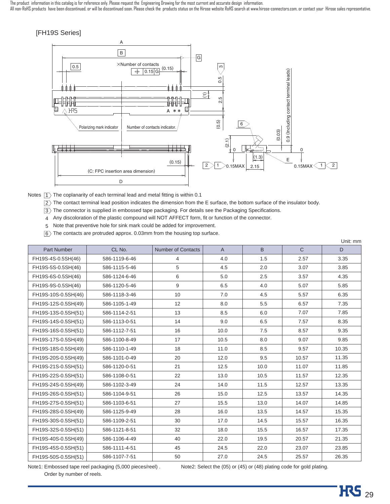The product information in this catalog is for reference only. Please request the Engineering Drawing for the most current and accurate design information.

All non-RoHS products have been discontinued, or will be discontinued soon. Please check the products status on the Hirose website RoHS search at www.hirose-connectors.com, or contact your Hirose sales representative.

#### [FH19S Series]



Notes  $\ket{1}$  The coplanarity of each terminal lead and metal fitting is within 0.1

 $\overline{2}$ ) The contact terminal lead position indicates the dimension from the E surface, the bottom surface of the insulator body.

 $\overline{3}$  The connector is supplied in embossed tape packaging. For details see the Packaging Specifications.

4 Any discoloration of the plastic compound will NOT AFFECT form, fit or function of the connector.

Note that preventive hole for sink mark could be added for improvement. 5

 $\overline{6} \rangle$  The contacts are protruded approx. 0.03mm from the housing top surface.

|                     |               |                    |                |      |              | Unit: mm |
|---------------------|---------------|--------------------|----------------|------|--------------|----------|
| <b>Part Number</b>  | CL No.        | Number of Contacts | $\overline{A}$ | B    | $\mathsf{C}$ | D        |
| FH19S-4S-0.5SH(46)  | 586-1119-6-46 | 4                  | 4.0            | 1.5  | 2.57         | 3.35     |
| FH19S-5S-0.5SH(46)  | 586-1115-5-46 | 5                  | 4.5            | 2.0  | 3.07         | 3.85     |
| FH19S-6S-0.5SH(46)  | 586-1124-6-46 | 6                  | 5.0            | 2.5  | 3.57         | 4.35     |
| FH19S-9S-0.5SH(46)  | 586-1120-5-46 | 9                  | 6.5            | 4.0  | 5.07         | 5.85     |
| FH19S-10S-0.5SH(46) | 586-1118-3-46 | 10                 | 7.0            | 4.5  | 5.57         | 6.35     |
| FH19S-12S-0.5SH(49) | 586-1105-1-49 | 12                 | 8.0            | 5.5  | 6.57         | 7.35     |
| FH19S-13S-0.5SH(51) | 586-1114-2-51 | 13                 | 8.5            | 6.0  | 7.07         | 7.85     |
| FH19S-14S-0.5SH(51) | 586-1113-0-51 | 14                 | 9.0            | 6.5  | 7.57         | 8.35     |
| FH19S-16S-0.5SH(51) | 586-1112-7-51 | 16                 | 10.0           | 7.5  | 8.57         | 9.35     |
| FH19S-17S-0.5SH(49) | 586-1100-8-49 | 17                 | 10.5           | 8.0  | 9.07         | 9.85     |
| FH19S-18S-0.5SH(49) | 586-1110-1-49 | 18                 | 11.0           | 8.5  | 9.57         | 10.35    |
| FH19S-20S-0.5SH(49) | 586-1101-0-49 | 20                 | 12.0           | 9.5  | 10.57        | 11.35    |
| FH19S-21S-0.5SH(51) | 586-1120-0-51 | 21                 | 12.5           | 10.0 | 11.07        | 11.85    |
| FH19S-22S-0.5SH(51) | 586-1108-0-51 | 22                 | 13.0           | 10.5 | 11.57        | 12.35    |
| FH19S-24S-0.5SH(49) | 586-1102-3-49 | 24                 | 14.0           | 11.5 | 12.57        | 13.35    |
| FH19S-26S-0.5SH(51) | 586-1104-9-51 | 26                 | 15.0           | 12.5 | 13.57        | 14.35    |
| FH19S-27S-0.5SH(51) | 586-1103-6-51 | 27                 | 15.5           | 13.0 | 14.07        | 14.85    |
| FH19S-28S-0.5SH(49) | 586-1125-9-49 | 28                 | 16.0           | 13.5 | 14.57        | 15.35    |
| FH19S-30S-0.5SH(51) | 586-1109-2-51 | 30                 | 17.0           | 14.5 | 15.57        | 16.35    |
| FH19S-32S-0.5SH(51) | 586-1121-8-51 | 32                 | 18.0           | 15.5 | 16.57        | 17.35    |
| FH19S-40S-0.5SH(49) | 586-1106-4-49 | 40                 | 22.0           | 19.5 | 20.57        | 21.35    |
| FH19S-45S-0.5SH(51) | 586-1111-4-51 | 45                 | 24.5           | 22.0 | 23.07        | 23.85    |
| FH19S-50S-0.5SH(51) | 586-1107-7-51 | 50                 | 27.0           | 24.5 | 25.57        | 26.35    |

Note1: Embossed tape reel packaging (5,000 pieces/reel) .

Note2: Select the (05) or (45) or (48) plating code for gold plating.

Order by number of reels.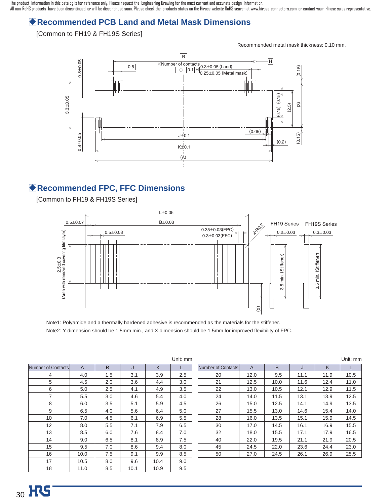# B**Recommended PCB Land and Metal Mask Dimensions**

#### [Common to FH19 & FH19S Series]

Recommended metal mask thickness: 0.10 mm.



### B**Recommended FPC, FFC Dimensions**

[Common to FH19 & FH19S Series]



Note1: Polyamide and a thermally hardened adhesive is recommended as the materials for the stiffener. Note2: Y dimension should be 1.5mm min., and X dimension should be 1.5mm for improved flexibility of FPC.

|                    |                |     |      |      | Unit: mm |
|--------------------|----------------|-----|------|------|----------|
| Number of Contacts | $\overline{A}$ | B   | J    | K    | L        |
| 4                  | 4.0            | 1.5 | 3.1  | 3.9  | 2.5      |
| 5                  | 4.5            | 2.0 | 3.6  | 4.4  | 3.0      |
| 6                  | 5.0            | 2.5 | 4.1  | 4.9  | 3.5      |
| 7                  | 5.5            | 3.0 | 4.6  | 5.4  | 4.0      |
| 8                  | 6.0            | 3.5 | 5.1  | 5.9  | 4.5      |
| 9                  | 6.5            | 4.0 | 5.6  | 6.4  | 5.0      |
| 10                 | 7.0            | 4.5 | 6.1  | 6.9  | 5.5      |
| 12                 | 8.0            | 5.5 | 7.1  | 7.9  | 6.5      |
| 13                 | 8.5            | 6.0 | 7.6  | 8.4  | 7.0      |
| 14                 | 9.0            | 6.5 | 8.1  | 8.9  | 7.5      |
| 15                 | 9.5            | 7.0 | 8.6  | 9.4  | 8.0      |
| 16                 | 10.0           | 7.5 | 9.1  | 9.9  | 8.5      |
| 17                 | 10.5           | 8.0 | 9.6  | 10.4 | 9.0      |
| 18                 | 11.0           | 8.5 | 10.1 | 10.9 | 9.5      |

|                    |      |      |      |      | Unit: mm |
|--------------------|------|------|------|------|----------|
| Number of Contacts | A    | B    | J    | K    |          |
| 20                 | 12.0 | 9.5  | 11.1 | 11.9 | 10.5     |
| 21                 | 12.5 | 10.0 | 11.6 | 12.4 | 11.0     |
| 22                 | 13.0 | 10.5 | 12.1 | 12.9 | 11.5     |
| 24                 | 14.0 | 11.5 | 13.1 | 13.9 | 12.5     |
| 26                 | 15.0 | 12.5 | 14.1 | 14.9 | 13.5     |
| 27                 | 15.5 | 13.0 | 14.6 | 15.4 | 14.0     |
| 28                 | 16.0 | 13.5 | 15.1 | 15.9 | 14.5     |
| 30                 | 17.0 | 14.5 | 16.1 | 16.9 | 15.5     |
| 32                 | 18.0 | 15.5 | 17.1 | 17.9 | 16.5     |
| 40                 | 22.0 | 19.5 | 21.1 | 21.9 | 20.5     |
| 45                 | 24.5 | 22.0 | 23.6 | 24.4 | 23.0     |
| 50                 | 27.0 | 24.5 | 26.1 | 26.9 | 25.5     |
|                    |      |      |      |      |          |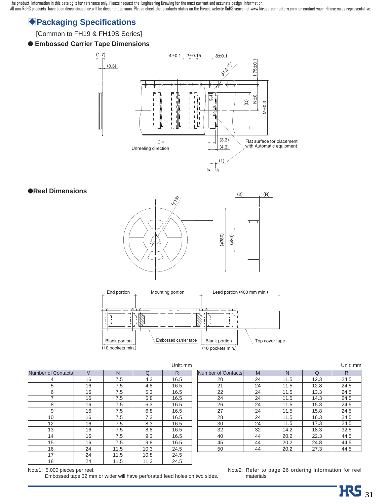### **Packaging Specifications**

#### [Common to FH19 & FH19S Series]

#### ● **Embossed Carrier Tape Dimensions**



#### ●**Reel Dimensions**





|                    |    |      |      | Unit: mm |
|--------------------|----|------|------|----------|
| Number of Contacts | M  | N    | Q    | R        |
| 4                  | 16 | 7.5  | 4.3  | 16.5     |
| 5                  | 16 | 7.5  | 4.8  | 16.5     |
| 6                  | 16 | 7.5  | 5.3  | 16.5     |
| 7                  | 16 | 7.5  | 5.8  | 16.5     |
| 8                  | 16 | 7.5  | 6.3  | 16.5     |
| 9                  | 16 | 7.5  | 6.8  | 16.5     |
| 10                 | 16 | 7.5  | 7.3  | 16.5     |
| 12                 | 16 | 7.5  | 8.3  | 16.5     |
| 13                 | 16 | 7.5  | 8.8  | 16.5     |
| 14                 | 16 | 7.5  | 9.3  | 16.5     |
| 15                 | 16 | 7.5  | 9.8  | 16.5     |
| 16                 | 24 | 11.5 | 10.3 | 24.5     |
| 17                 | 24 | 11.5 | 10.8 | 24.5     |
| 18                 | 24 | 11.5 | 11.3 | 24.5     |

|                    |    |      |      | Unit: mm |
|--------------------|----|------|------|----------|
| Number of Contacts | M  | N    | Q    | R        |
| 20                 | 24 | 11.5 | 12.3 | 24.5     |
| 21                 | 24 | 11.5 | 12.8 | 24.5     |
| 22                 | 24 | 11.5 | 13.3 | 24.5     |
| 24                 | 24 | 11.5 | 14.3 | 24.5     |
| 26                 | 24 | 11.5 | 15.3 | 24.5     |
| 27                 | 24 | 11.5 | 15.8 | 24.5     |
| 28                 | 24 | 11.5 | 16.3 | 24.5     |
| 30                 | 24 | 11.5 | 17.3 | 24.5     |
| 32                 | 32 | 14.2 | 18.3 | 32.5     |
| 40                 | 44 | 20.2 | 22.3 | 44.5     |
| 45                 | 44 | 20.2 | 24.8 | 44.5     |
| 50                 | 44 | 20.2 | 27.3 | 44.5     |

Note1: 5,000 pieces per reel.

Embossed tape 32 mm or wider will have perforated feed holes on two sides.

Note2: Refer to page 26 ordering information for reel materials.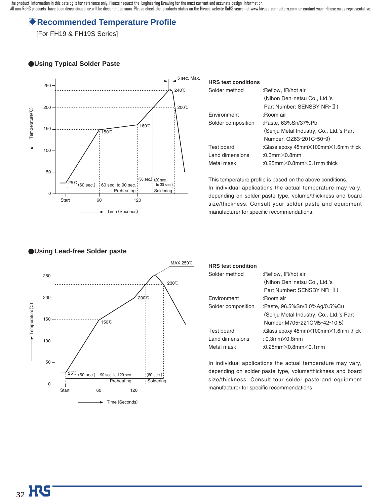### B**Recommended Temperature Profile**

[For FH19 & FH19S Series]

#### ●**Using Typical Solder Paste**



| <b>HRS</b> test conditions |                                                          |
|----------------------------|----------------------------------------------------------|
| Solder method              | :Reflow, IR/hot air                                      |
|                            | (Nihon Den-netsu Co., Ltd.'s                             |
|                            | Part Number: SENSBY NR-II)                               |
| <b>Fnvironment</b>         | ∶Boom air                                                |
| Solder composition         | :Paste, 63%Sn/37%Pb                                      |
|                            | (Senju Metal Industry, Co., Ltd.'s Part                  |
|                            | Number: OZ63-201C-50-9)                                  |
| Test board                 | :Glass epoxy $45$ mm $\times$ 100mm $\times$ 1.6mm thick |
| Land dimensions            | $:0.3$ mm $\times$ 0.8mm                                 |
| Metal mask                 | :0.25mm $\times$ 0.8mm $\times$ 0.1mm thick              |

This temperature profile is based on the above conditions. In individual applications the actual temperature may vary, depending on solder paste type, volume/thickness and board size/thickness. Consult your solder paste and equipment manufacturer for specific recommendations.



#### ●**Using Lead-free Solder paste**

| <b>HRS</b> test condition |                                                          |
|---------------------------|----------------------------------------------------------|
| Solder method             | :Reflow, IR/hot air                                      |
|                           | (Nihon Den-netsu Co., Ltd.'s                             |
|                           | Part Number: SENSBY NR-II)                               |
| <b>Fnvironment</b>        | ∶Boom air                                                |
| Solder composition        | :Paste, 96.5%Sn/3.0%Ag/0.5%Cu                            |
|                           | (Senju Metal Industry, Co., Ltd.'s Part                  |
|                           | Number: M705-221CM5-42-10.5)                             |
| Test board                | :Glass epoxy $45$ mm $\times$ 100mm $\times$ 1.6mm thick |
| Land dimensions           | $: 0.3$ mm $\times$ 0.8mm                                |
| Metal mask                | $:0.25$ mm $\times$ 0.8mm $\times$ 0.1mm                 |
|                           |                                                          |

In individual applications the actual temperature may vary, depending on solder paste type, volume/thickness and board size/thickness. Consult tour solder paste and equipment manufacturer for specific recommendations.